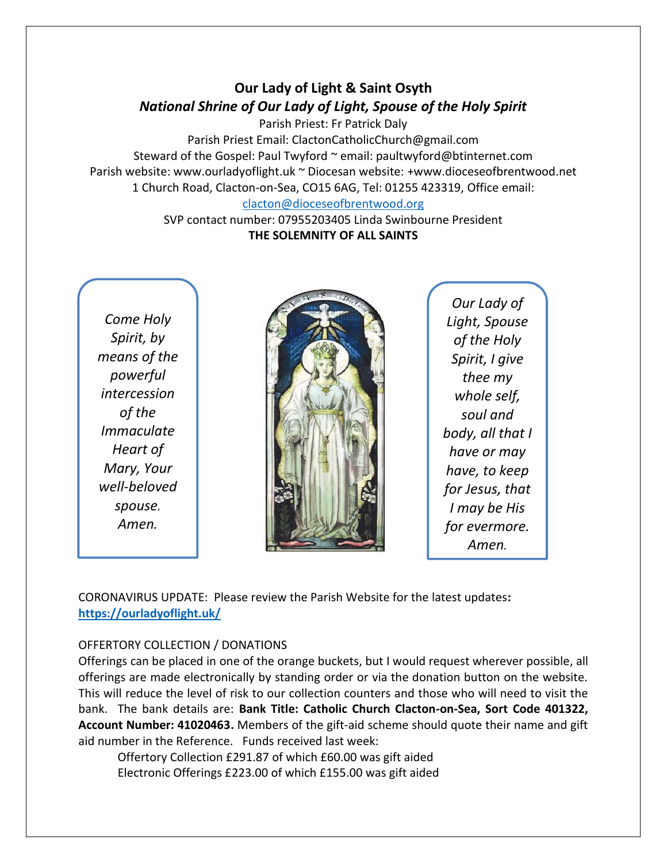# **Our Lady of Light & Saint Osyth** *National Shrine of Our Lady of Light, Spouse of the Holy Spirit*

Parish Priest: Fr Patrick Daly Parish Priest Email: ClactonCatholicChurch@gmail.com Steward of the Gospel: Paul Twyford ~ email: paultwyford@btinternet.com Parish website: www.ourladyoflight.uk ~ Diocesan website: +www.dioceseofbrentwood.net 1 Church Road, Clacton-on-Sea, CO15 6AG, Tel: 01255 423319, Office email:

# [clacton@dioceseofbrentwood.org](mailto:clacton@dioceseofbrentwood.org)

SVP contact number: 07955203405 Linda Swinbourne President **THE SOLEMNITY OF ALL SAINTS** 

*Come Holy Spirit, by means of the powerful intercession of the Immaculate Heart of Mary, Your well-beloved spouse. Amen.*



*Our Lady of Light, Spouse of the Holy Spirit, I give thee my whole self, soul and body, all that I have or may have, to keep for Jesus, that I may be His for evermore. Amen.*

CORONAVIRUS UPDATE: Please review the Parish Website for the latest updates**: <https://ourladyoflight.uk/>**

## OFFERTORY COLLECTION / DONATIONS

Offerings can be placed in one of the orange buckets, but I would request wherever possible, all offerings are made electronically by standing order or via the donation button on the website. This will reduce the level of risk to our collection counters and those who will need to visit the bank. The bank details are: **Bank Title: Catholic Church Clacton-on-Sea, Sort Code 401322, Account Number: 41020463.** Members of the gift-aid scheme should quote their name and gift aid number in the Reference. Funds received last week:

Offertory Collection £291.87 of which £60.00 was gift aided Electronic Offerings £223.00 of which £155.00 was gift aided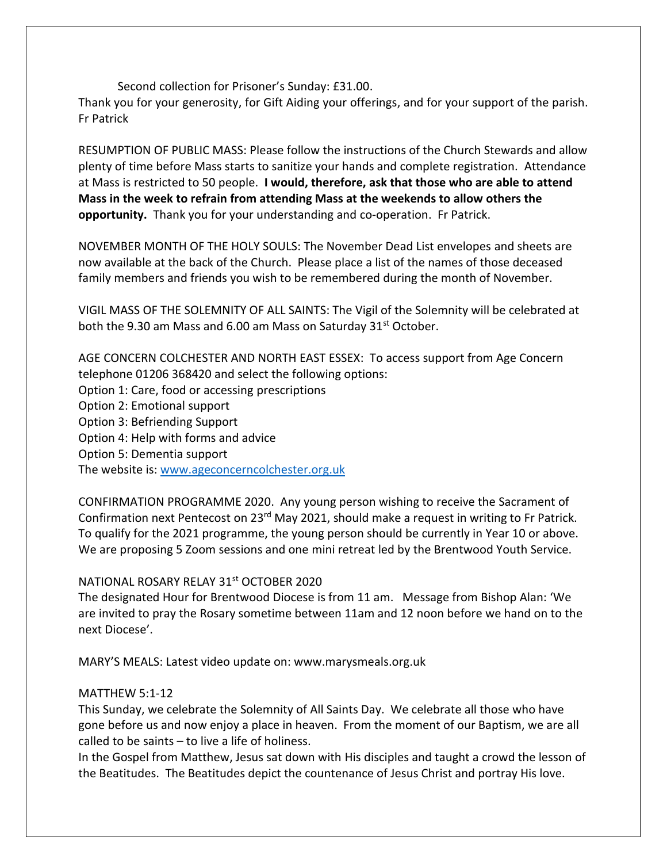Second collection for Prisoner's Sunday: £31.00. Thank you for your generosity, for Gift Aiding your offerings, and for your support of the parish. Fr Patrick

RESUMPTION OF PUBLIC MASS: Please follow the instructions of the Church Stewards and allow plenty of time before Mass starts to sanitize your hands and complete registration. Attendance at Mass is restricted to 50 people. **I would, therefore, ask that those who are able to attend Mass in the week to refrain from attending Mass at the weekends to allow others the opportunity.** Thank you for your understanding and co-operation. Fr Patrick.

NOVEMBER MONTH OF THE HOLY SOULS: The November Dead List envelopes and sheets are now available at the back of the Church. Please place a list of the names of those deceased family members and friends you wish to be remembered during the month of November.

VIGIL MASS OF THE SOLEMNITY OF ALL SAINTS: The Vigil of the Solemnity will be celebrated at both the 9.30 am Mass and 6.00 am Mass on Saturday 31<sup>st</sup> October.

AGE CONCERN COLCHESTER AND NORTH EAST ESSEX: To access support from Age Concern telephone 01206 368420 and select the following options: Option 1: Care, food or accessing prescriptions Option 2: Emotional support Option 3: Befriending Support Option 4: Help with forms and advice Option 5: Dementia support The website is: [www.ageconcerncolchester.org.uk](http://www.ageconcerncolchester.org.uk/)

CONFIRMATION PROGRAMME 2020. Any young person wishing to receive the Sacrament of Confirmation next Pentecost on 23rd May 2021, should make a request in writing to Fr Patrick. To qualify for the 2021 programme, the young person should be currently in Year 10 or above. We are proposing 5 Zoom sessions and one mini retreat led by the Brentwood Youth Service.

#### NATIONAL ROSARY RELAY 31st OCTOBER 2020

The designated Hour for Brentwood Diocese is from 11 am. Message from Bishop Alan: 'We are invited to pray the Rosary sometime between 11am and 12 noon before we hand on to the next Diocese'.

MARY'S MEALS: Latest video update on: www.marysmeals.org.uk

#### MATTHEW 5:1-12

This Sunday, we celebrate the Solemnity of All Saints Day. We celebrate all those who have gone before us and now enjoy a place in heaven. From the moment of our Baptism, we are all called to be saints – to live a life of holiness.

In the Gospel from Matthew, Jesus sat down with His disciples and taught a crowd the lesson of the Beatitudes. The Beatitudes depict the countenance of Jesus Christ and portray His love.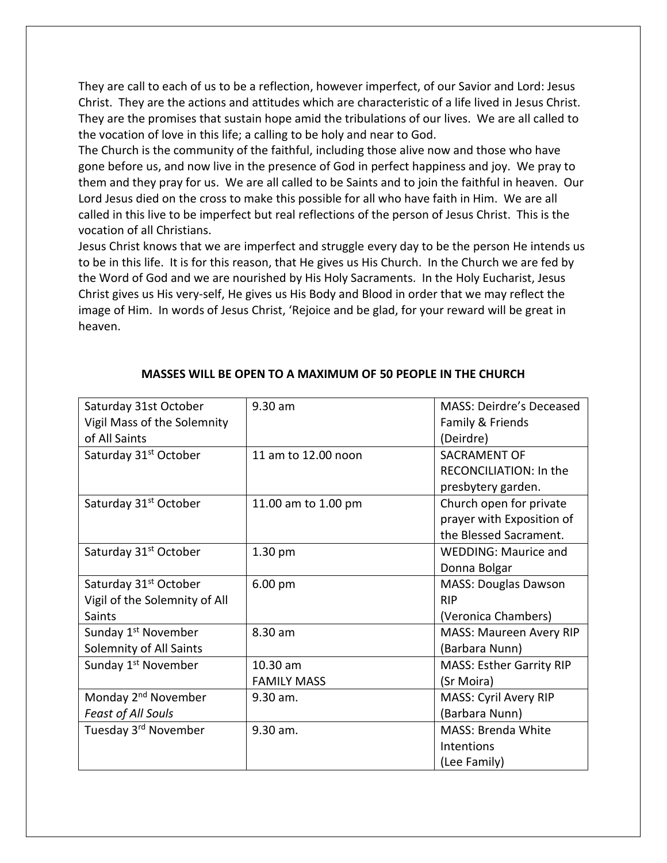They are call to each of us to be a reflection, however imperfect, of our Savior and Lord: Jesus Christ. They are the actions and attitudes which are characteristic of a life lived in Jesus Christ. They are the promises that sustain hope amid the tribulations of our lives. We are all called to the vocation of love in this life; a calling to be holy and near to God.

The Church is the community of the faithful, including those alive now and those who have gone before us, and now live in the presence of God in perfect happiness and joy. We pray to them and they pray for us. We are all called to be Saints and to join the faithful in heaven. Our Lord Jesus died on the cross to make this possible for all who have faith in Him. We are all called in this live to be imperfect but real reflections of the person of Jesus Christ. This is the vocation of all Christians.

Jesus Christ knows that we are imperfect and struggle every day to be the person He intends us to be in this life. It is for this reason, that He gives us His Church. In the Church we are fed by the Word of God and we are nourished by His Holy Sacraments. In the Holy Eucharist, Jesus Christ gives us His very-self, He gives us His Body and Blood in order that we may reflect the image of Him. In words of Jesus Christ, 'Rejoice and be glad, for your reward will be great in heaven.

| Saturday 31st October             | $9.30$ am           | MASS: Deirdre's Deceased        |
|-----------------------------------|---------------------|---------------------------------|
| Vigil Mass of the Solemnity       |                     | Family & Friends                |
| of All Saints                     |                     | (Deirdre)                       |
| Saturday 31 <sup>st</sup> October | 11 am to 12.00 noon | <b>SACRAMENT OF</b>             |
|                                   |                     | <b>RECONCILIATION: In the</b>   |
|                                   |                     | presbytery garden.              |
| Saturday 31 <sup>st</sup> October | 11.00 am to 1.00 pm | Church open for private         |
|                                   |                     | prayer with Exposition of       |
|                                   |                     | the Blessed Sacrament.          |
| Saturday 31 <sup>st</sup> October | $1.30$ pm           | <b>WEDDING: Maurice and</b>     |
|                                   |                     | Donna Bolgar                    |
| Saturday 31 <sup>st</sup> October | 6.00 pm             | <b>MASS: Douglas Dawson</b>     |
| Vigil of the Solemnity of All     |                     | <b>RIP</b>                      |
| <b>Saints</b>                     |                     | (Veronica Chambers)             |
| Sunday 1 <sup>st</sup> November   | 8.30 am             | <b>MASS: Maureen Avery RIP</b>  |
| Solemnity of All Saints           |                     | (Barbara Nunn)                  |
| Sunday 1 <sup>st</sup> November   | 10.30 am            | <b>MASS: Esther Garrity RIP</b> |
|                                   | <b>FAMILY MASS</b>  | (Sr Moira)                      |
| Monday 2 <sup>nd</sup> November   | $9.30$ am.          | <b>MASS: Cyril Avery RIP</b>    |
| Feast of All Souls                |                     | (Barbara Nunn)                  |
| Tuesday 3rd November              | 9.30 am.            | MASS: Brenda White              |
|                                   |                     | Intentions                      |
|                                   |                     | (Lee Family)                    |

### **MASSES WILL BE OPEN TO A MAXIMUM OF 50 PEOPLE IN THE CHURCH**